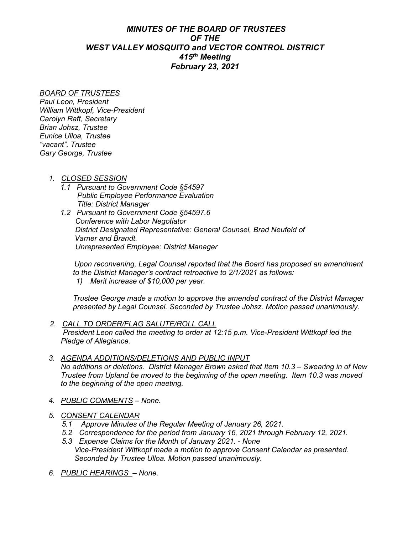## *MINUTES OF THE BOARD OF TRUSTEES OF THE WEST VALLEY MOSQUITO and VECTOR CONTROL DISTRICT 415th Meeting February 23, 2021*

## *BOARD OF TRUSTEES*

*Paul Leon, President William Wittkopf, Vice-President Carolyn Raft, Secretary Brian Johsz, Trustee Eunice Ulloa, Trustee "vacant", Trustee Gary George, Trustee*

- *1. CLOSED SESSION*
	- *1.1 Pursuant to Government Code §54597 Public Employee Performance Evaluation Title: District Manager*
	- *1.2 Pursuant to Government Code §54597.6 Conference with Labor Negotiator District Designated Representative: General Counsel, Brad Neufeld of Varner and Brandt. Unrepresented Employee: District Manager*

 *Upon reconvening, Legal Counsel reported that the Board has proposed an amendment to the District Manager's contract retroactive to 2/1/2021 as follows:*

*1) Merit increase of \$10,000 per year.*

*Trustee George made a motion to approve the amended contract of the District Manager presented by Legal Counsel. Seconded by Trustee Johsz. Motion passed unanimously.*

- *2. CALL TO ORDER/FLAG SALUTE/ROLL CALL President Leon called the meeting to order at 12:15 p.m. Vice-President Wittkopf led the Pledge of Allegiance.*
- *3. AGENDA ADDITIONS/DELETIONS AND PUBLIC INPUT No additions or deletions. District Manager Brown asked that Item 10.3 – Swearing in of New Trustee from Upland be moved to the beginning of the open meeting. Item 10.3 was moved to the beginning of the open meeting.*
- *4. PUBLIC COMMENTS – None.*
- *5. CONSENT CALENDAR*
	- *5.1 Approve Minutes of the Regular Meeting of January 26, 2021.*
	- *5.2 Correspondence for the period from January 16, 2021 through February 12, 2021.*
	- *5.3 Expense Claims for the Month of January 2021. - None Vice-President Wittkopf made a motion to approve Consent Calendar as presented. Seconded by Trustee Ulloa. Motion passed unanimously.*
- *6. PUBLIC HEARINGS – None.*